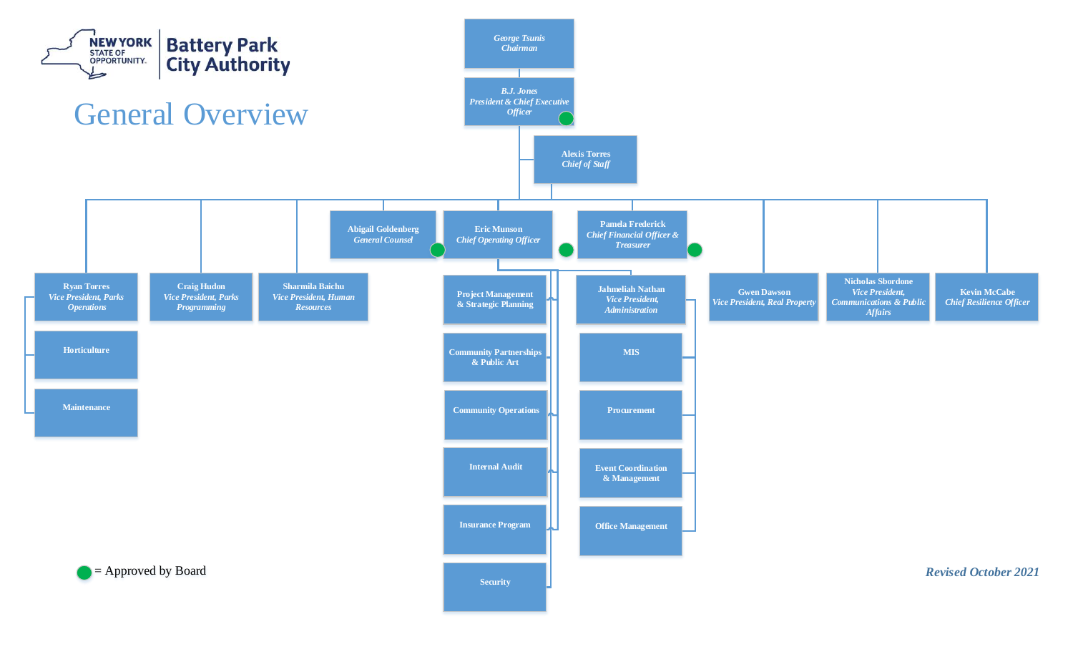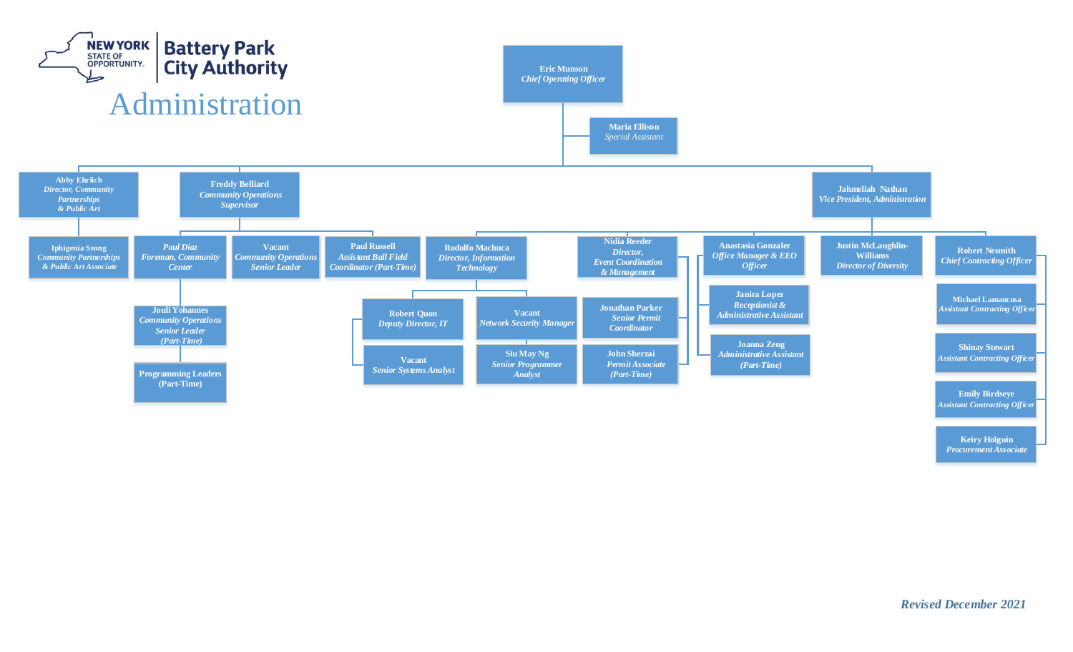

**Keiry Holguin**  *Procurement Associate*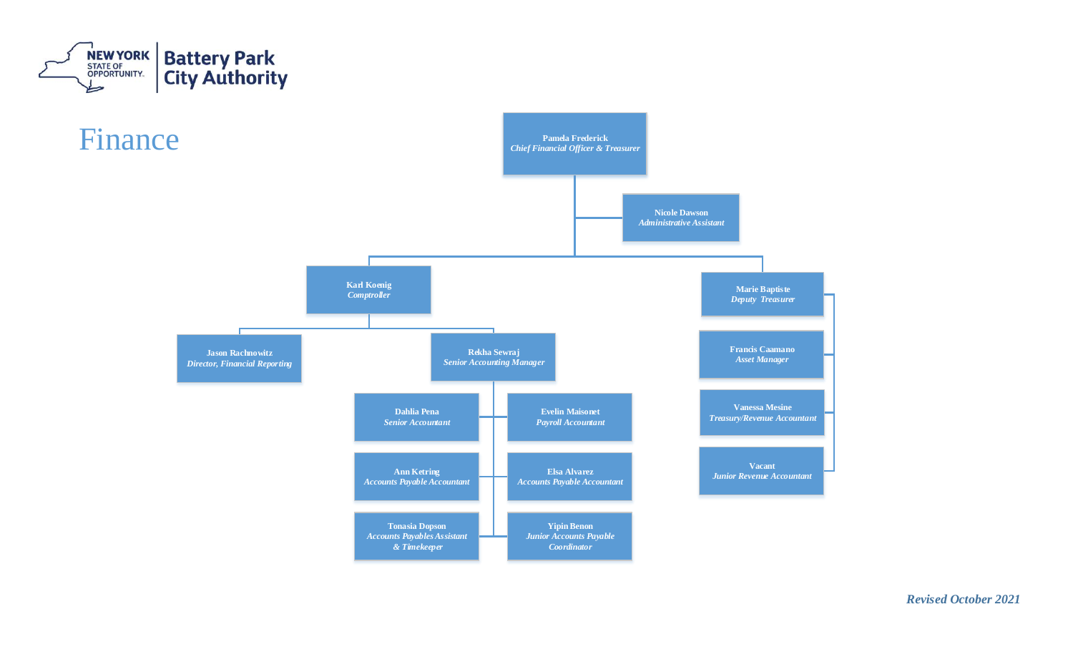



*Revised October 2021*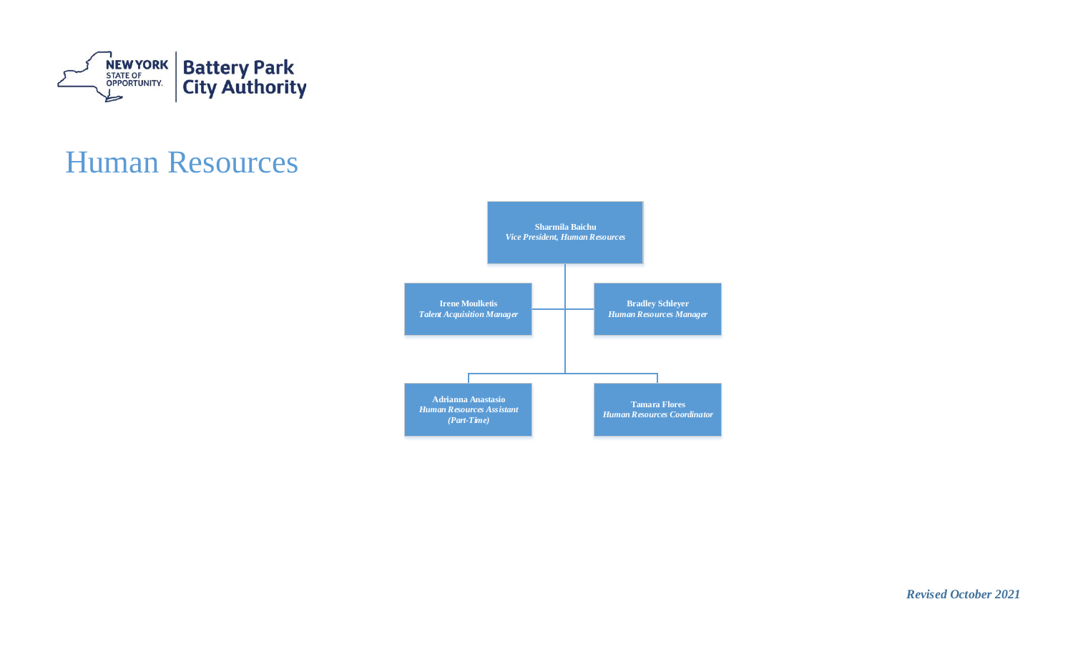

## Human Resources



*Revised October 2021*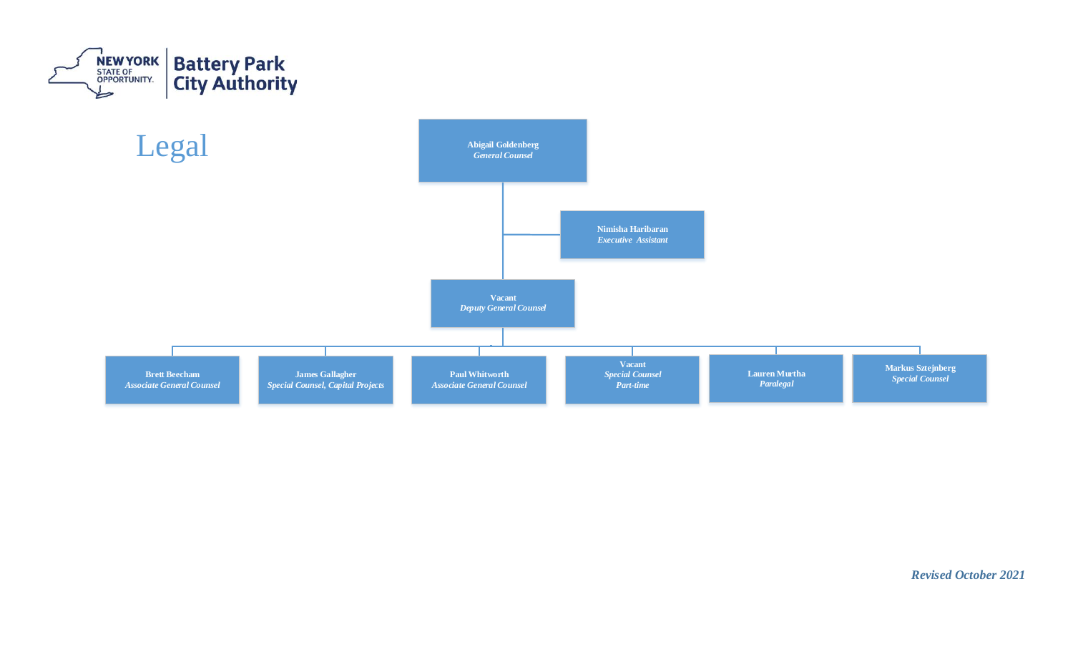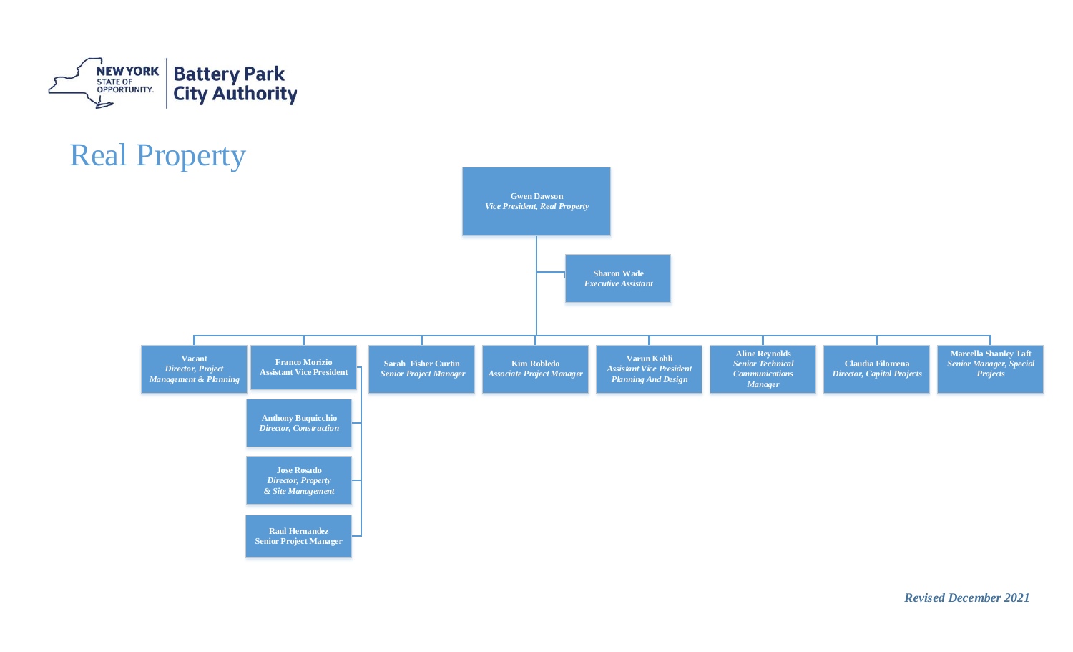

## Real Property



*Revised December 2021*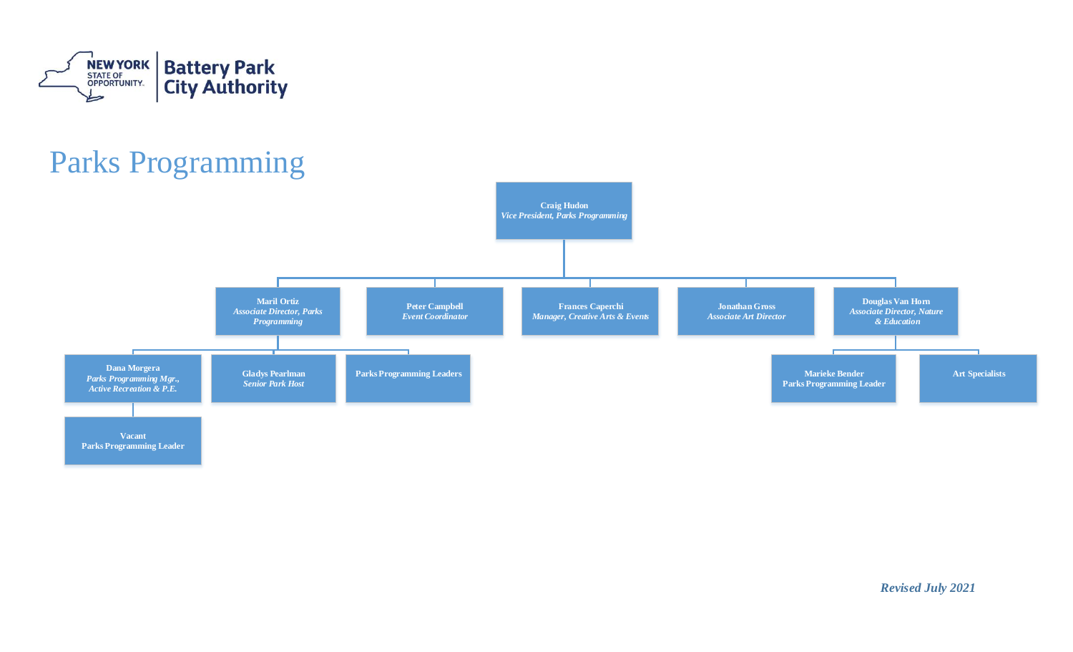

## Parks Programming

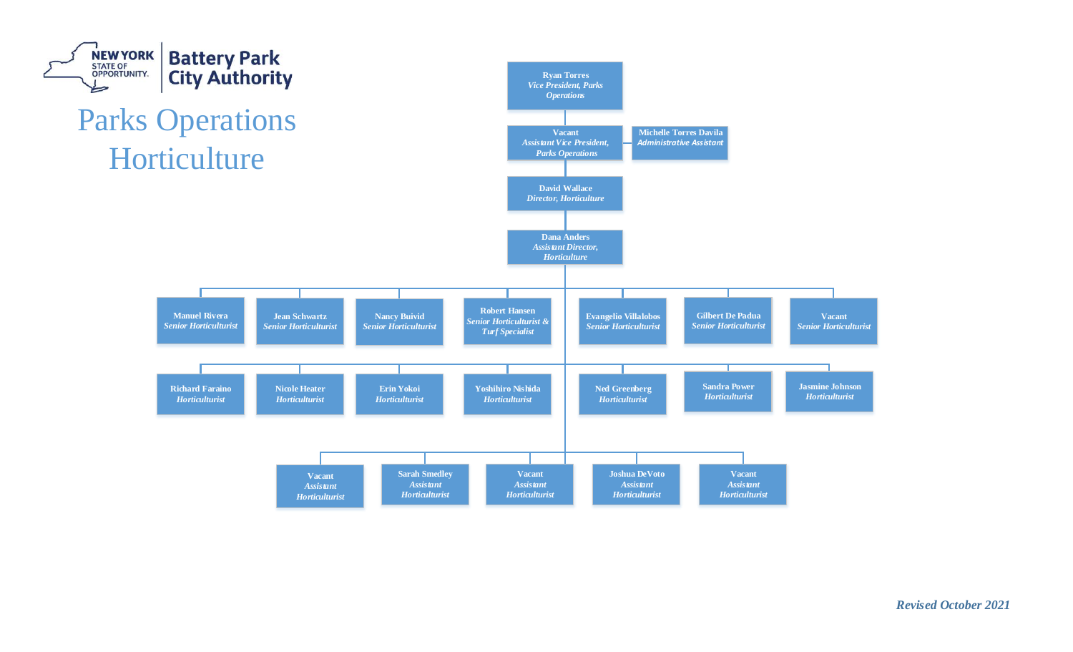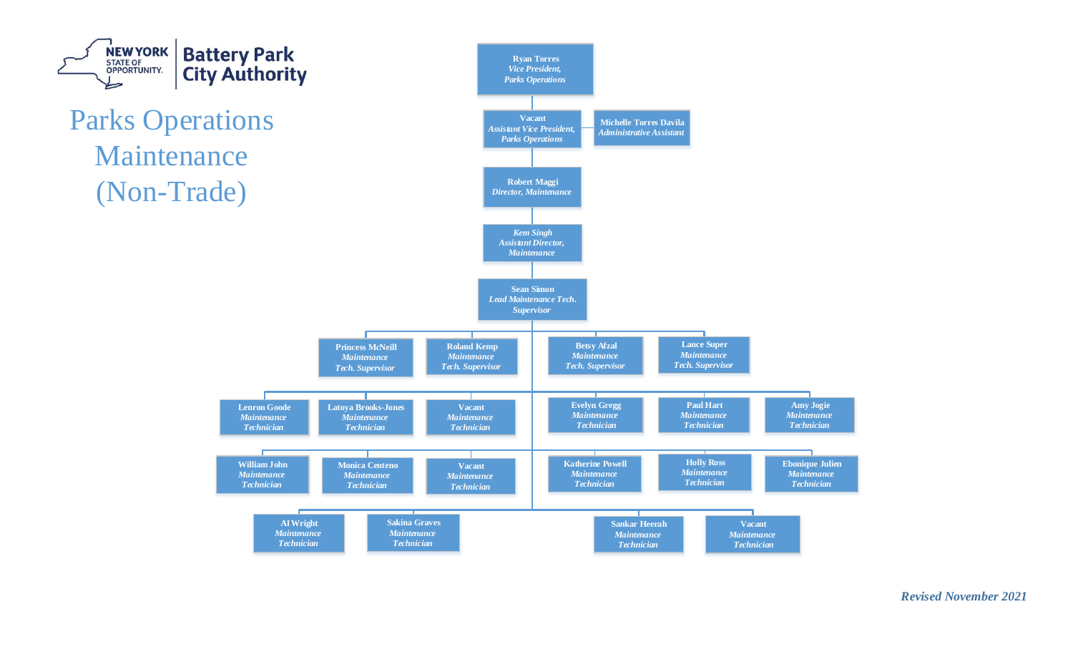

*Revised November 2021*